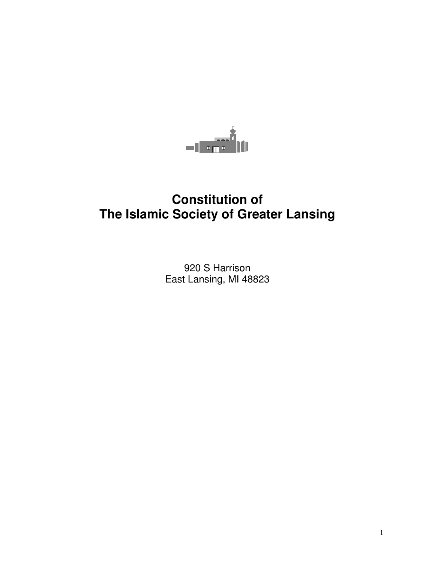

# **Constitution of The Islamic Society of Greater Lansing**

920 S Harrison East Lansing, MI 48823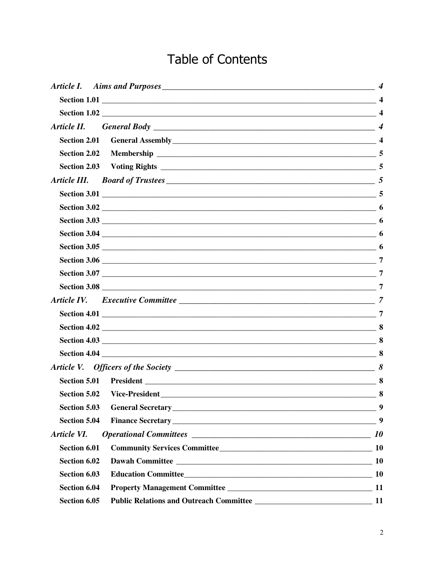# Table of Contents

|                     | Section 5.02 Vice-President<br>8        |           |
|---------------------|-----------------------------------------|-----------|
| <b>Section 5.03</b> |                                         | 9         |
| <b>Section 5.04</b> |                                         | 9         |
| Article VI.         |                                         | 10        |
| <b>Section 6.01</b> |                                         |           |
| Section 6.02        |                                         | <b>10</b> |
| Section 6.03        |                                         |           |
| Section 6.04        |                                         |           |
| Section 6.05        | Public Relations and Outreach Committee | 11        |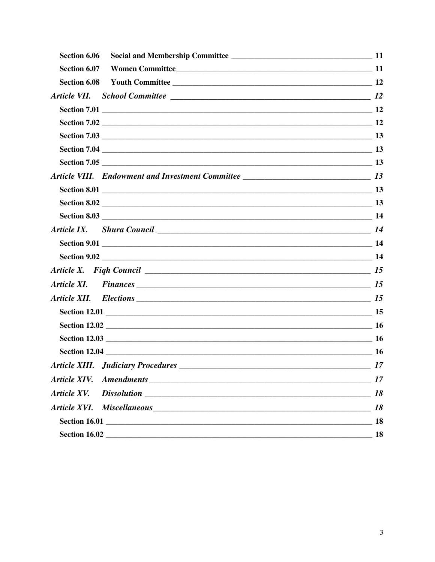| Section 6.06                              |           |
|-------------------------------------------|-----------|
| Section 6.07 Women Committee              |           |
|                                           |           |
|                                           |           |
|                                           |           |
|                                           |           |
|                                           |           |
|                                           |           |
|                                           |           |
|                                           |           |
|                                           |           |
|                                           |           |
|                                           |           |
|                                           |           |
|                                           |           |
|                                           |           |
|                                           |           |
| Article XI. Finances 15                   |           |
|                                           |           |
|                                           |           |
|                                           |           |
|                                           |           |
|                                           |           |
| <b>Article XIII.</b> Judiciary Procedures | $\sim$ 17 |
|                                           | 17        |
| Article XV.                               | 18        |
|                                           | 18        |
|                                           |           |
|                                           |           |
|                                           |           |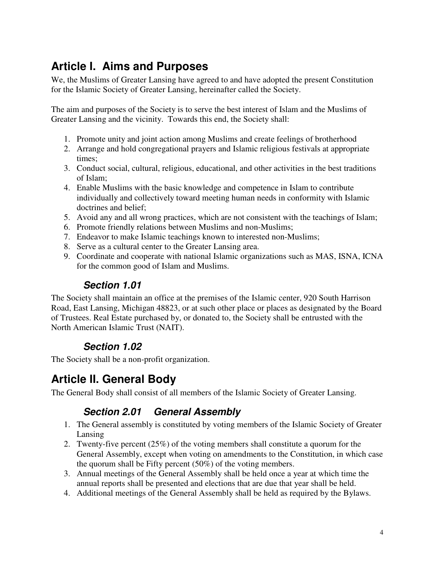## **Article I. Aims and Purposes**

We, the Muslims of Greater Lansing have agreed to and have adopted the present Constitution for the Islamic Society of Greater Lansing, hereinafter called the Society.

The aim and purposes of the Society is to serve the best interest of Islam and the Muslims of Greater Lansing and the vicinity. Towards this end, the Society shall:

- 1. Promote unity and joint action among Muslims and create feelings of brotherhood
- 2. Arrange and hold congregational prayers and Islamic religious festivals at appropriate times;
- 3. Conduct social, cultural, religious, educational, and other activities in the best traditions of Islam;
- 4. Enable Muslims with the basic knowledge and competence in Islam to contribute individually and collectively toward meeting human needs in conformity with Islamic doctrines and belief;
- 5. Avoid any and all wrong practices, which are not consistent with the teachings of Islam;
- 6. Promote friendly relations between Muslims and non-Muslims;
- 7. Endeavor to make Islamic teachings known to interested non-Muslims;
- 8. Serve as a cultural center to the Greater Lansing area.
- 9. Coordinate and cooperate with national Islamic organizations such as MAS, ISNA, ICNA for the common good of Islam and Muslims.

#### **Section 1.01**

The Society shall maintain an office at the premises of the Islamic center, 920 South Harrison Road, East Lansing, Michigan 48823, or at such other place or places as designated by the Board of Trustees. Real Estate purchased by, or donated to, the Society shall be entrusted with the North American Islamic Trust (NAIT).

#### **Section 1.02**

The Society shall be a non-profit organization.

## **Article II. General Body**

The General Body shall consist of all members of the Islamic Society of Greater Lansing.

#### **Section 2.01 General Assembly**

- 1. The General assembly is constituted by voting members of the Islamic Society of Greater Lansing
- 2. Twenty-five percent (25%) of the voting members shall constitute a quorum for the General Assembly, except when voting on amendments to the Constitution, in which case the quorum shall be Fifty percent (50%) of the voting members.
- 3. Annual meetings of the General Assembly shall be held once a year at which time the annual reports shall be presented and elections that are due that year shall be held.
- 4. Additional meetings of the General Assembly shall be held as required by the Bylaws.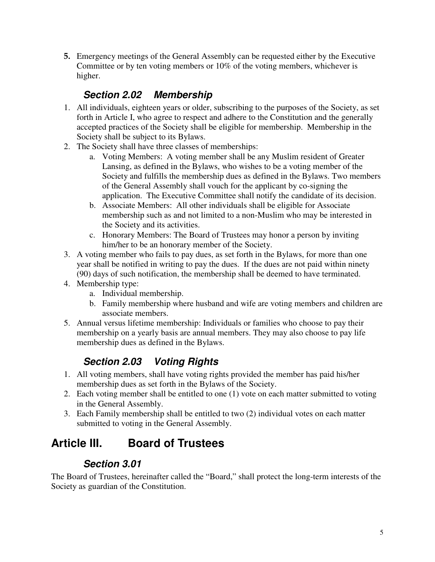5. Emergency meetings of the General Assembly can be requested either by the Executive Committee or by ten voting members or 10% of the voting members, whichever is higher.

#### **Section 2.02 Membership**

- 1. All individuals, eighteen years or older, subscribing to the purposes of the Society, as set forth in Article I, who agree to respect and adhere to the Constitution and the generally accepted practices of the Society shall be eligible for membership. Membership in the Society shall be subject to its Bylaws.
- 2. The Society shall have three classes of memberships:
	- a. Voting Members: A voting member shall be any Muslim resident of Greater Lansing, as defined in the Bylaws, who wishes to be a voting member of the Society and fulfills the membership dues as defined in the Bylaws. Two members of the General Assembly shall vouch for the applicant by co-signing the application. The Executive Committee shall notify the candidate of its decision.
	- b. Associate Members: All other individuals shall be eligible for Associate membership such as and not limited to a non-Muslim who may be interested in the Society and its activities.
	- c. Honorary Members: The Board of Trustees may honor a person by inviting him/her to be an honorary member of the Society.
- 3. A voting member who fails to pay dues, as set forth in the Bylaws, for more than one year shall be notified in writing to pay the dues. If the dues are not paid within ninety (90) days of such notification, the membership shall be deemed to have terminated.
- 4. Membership type:
	- a. Individual membership.
	- b. Family membership where husband and wife are voting members and children are associate members.
- 5. Annual versus lifetime membership: Individuals or families who choose to pay their membership on a yearly basis are annual members. They may also choose to pay life membership dues as defined in the Bylaws.

### **Section 2.03 Voting Rights**

- 1. All voting members, shall have voting rights provided the member has paid his/her membership dues as set forth in the Bylaws of the Society.
- 2. Each voting member shall be entitled to one (1) vote on each matter submitted to voting in the General Assembly.
- 3. Each Family membership shall be entitled to two (2) individual votes on each matter submitted to voting in the General Assembly.

## **Article III. Board of Trustees**

#### **Section 3.01**

The Board of Trustees, hereinafter called the "Board," shall protect the long-term interests of the Society as guardian of the Constitution.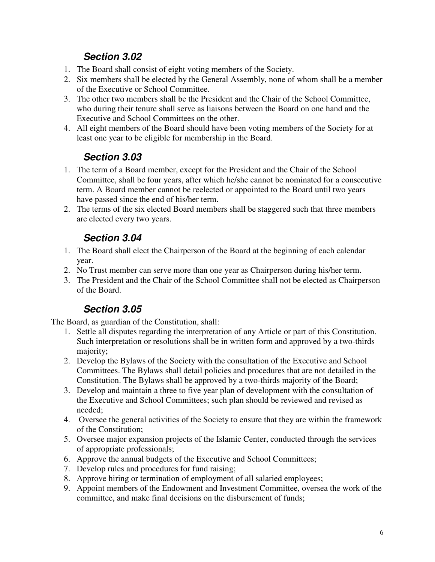#### **Section 3.02**

- 1. The Board shall consist of eight voting members of the Society.
- 2. Six members shall be elected by the General Assembly, none of whom shall be a member of the Executive or School Committee.
- 3. The other two members shall be the President and the Chair of the School Committee, who during their tenure shall serve as liaisons between the Board on one hand and the Executive and School Committees on the other.
- 4. All eight members of the Board should have been voting members of the Society for at least one year to be eligible for membership in the Board.

### **Section 3.03**

- 1. The term of a Board member, except for the President and the Chair of the School Committee, shall be four years, after which he/she cannot be nominated for a consecutive term. A Board member cannot be reelected or appointed to the Board until two years have passed since the end of his/her term.
- 2. The terms of the six elected Board members shall be staggered such that three members are elected every two years.

### **Section 3.04**

- 1. The Board shall elect the Chairperson of the Board at the beginning of each calendar year.
- 2. No Trust member can serve more than one year as Chairperson during his/her term.
- 3. The President and the Chair of the School Committee shall not be elected as Chairperson of the Board.

#### **Section 3.05**

The Board, as guardian of the Constitution, shall:

- 1. Settle all disputes regarding the interpretation of any Article or part of this Constitution. Such interpretation or resolutions shall be in written form and approved by a two-thirds majority;
- 2. Develop the Bylaws of the Society with the consultation of the Executive and School Committees. The Bylaws shall detail policies and procedures that are not detailed in the Constitution. The Bylaws shall be approved by a two-thirds majority of the Board;
- 3. Develop and maintain a three to five year plan of development with the consultation of the Executive and School Committees; such plan should be reviewed and revised as needed;
- 4. Oversee the general activities of the Society to ensure that they are within the framework of the Constitution;
- 5. Oversee major expansion projects of the Islamic Center, conducted through the services of appropriate professionals;
- 6. Approve the annual budgets of the Executive and School Committees;
- 7. Develop rules and procedures for fund raising;
- 8. Approve hiring or termination of employment of all salaried employees;
- 9. Appoint members of the Endowment and Investment Committee, oversea the work of the committee, and make final decisions on the disbursement of funds;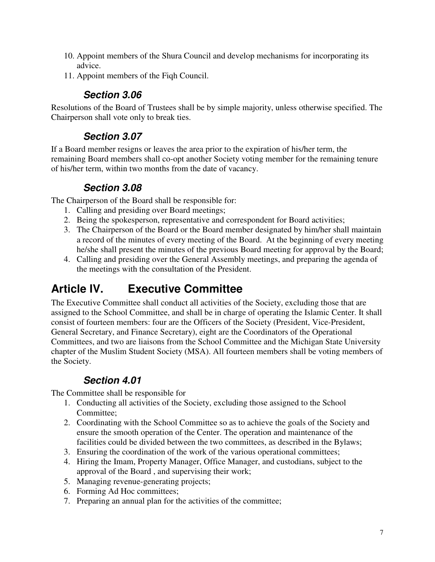- 10. Appoint members of the Shura Council and develop mechanisms for incorporating its advice.
- 11. Appoint members of the Fiqh Council.

#### **Section 3.06**

Resolutions of the Board of Trustees shall be by simple majority, unless otherwise specified. The Chairperson shall vote only to break ties.

#### **Section 3.07**

If a Board member resigns or leaves the area prior to the expiration of his/her term, the remaining Board members shall co-opt another Society voting member for the remaining tenure of his/her term, within two months from the date of vacancy.

#### **Section 3.08**

The Chairperson of the Board shall be responsible for:

- 1. Calling and presiding over Board meetings;
- 2. Being the spokesperson, representative and correspondent for Board activities;
- 3. The Chairperson of the Board or the Board member designated by him/her shall maintain a record of the minutes of every meeting of the Board. At the beginning of every meeting he/she shall present the minutes of the previous Board meeting for approval by the Board;
- 4. Calling and presiding over the General Assembly meetings, and preparing the agenda of the meetings with the consultation of the President.

## **Article IV. Executive Committee**

The Executive Committee shall conduct all activities of the Society, excluding those that are assigned to the School Committee, and shall be in charge of operating the Islamic Center. It shall consist of fourteen members: four are the Officers of the Society (President, Vice-President, General Secretary, and Finance Secretary), eight are the Coordinators of the Operational Committees, and two are liaisons from the School Committee and the Michigan State University chapter of the Muslim Student Society (MSA). All fourteen members shall be voting members of the Society.

### **Section 4.01**

The Committee shall be responsible for

- 1. Conducting all activities of the Society, excluding those assigned to the School Committee;
- 2. Coordinating with the School Committee so as to achieve the goals of the Society and ensure the smooth operation of the Center. The operation and maintenance of the facilities could be divided between the two committees, as described in the Bylaws;
- 3. Ensuring the coordination of the work of the various operational committees;
- 4. Hiring the Imam, Property Manager, Office Manager, and custodians, subject to the approval of the Board , and supervising their work;
- 5. Managing revenue-generating projects;
- 6. Forming Ad Hoc committees;
- 7. Preparing an annual plan for the activities of the committee;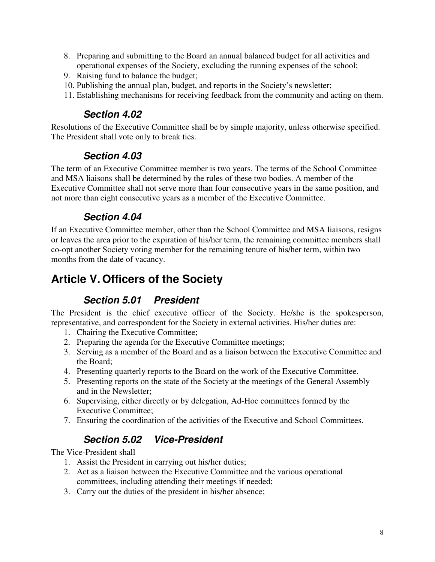- 8. Preparing and submitting to the Board an annual balanced budget for all activities and operational expenses of the Society, excluding the running expenses of the school;
- 9. Raising fund to balance the budget;
- 10. Publishing the annual plan, budget, and reports in the Society's newsletter;
- 11. Establishing mechanisms for receiving feedback from the community and acting on them.

#### **Section 4.02**

Resolutions of the Executive Committee shall be by simple majority, unless otherwise specified. The President shall vote only to break ties.

#### **Section 4.03**

The term of an Executive Committee member is two years. The terms of the School Committee and MSA liaisons shall be determined by the rules of these two bodies. A member of the Executive Committee shall not serve more than four consecutive years in the same position, and not more than eight consecutive years as a member of the Executive Committee.

#### **Section 4.04**

If an Executive Committee member, other than the School Committee and MSA liaisons, resigns or leaves the area prior to the expiration of his/her term, the remaining committee members shall co-opt another Society voting member for the remaining tenure of his/her term, within two months from the date of vacancy.

## **Article V. Officers of the Society**

#### **Section 5.01 President**

The President is the chief executive officer of the Society. He/she is the spokesperson, representative, and correspondent for the Society in external activities. His/her duties are:

- 1. Chairing the Executive Committee;
- 2. Preparing the agenda for the Executive Committee meetings;
- 3. Serving as a member of the Board and as a liaison between the Executive Committee and the Board;
- 4. Presenting quarterly reports to the Board on the work of the Executive Committee.
- 5. Presenting reports on the state of the Society at the meetings of the General Assembly and in the Newsletter;
- 6. Supervising, either directly or by delegation, Ad-Hoc committees formed by the Executive Committee;
- 7. Ensuring the coordination of the activities of the Executive and School Committees.

#### **Section 5.02 Vice-President**

The Vice-President shall

- 1. Assist the President in carrying out his/her duties;
- 2. Act as a liaison between the Executive Committee and the various operational committees, including attending their meetings if needed;
- 3. Carry out the duties of the president in his/her absence;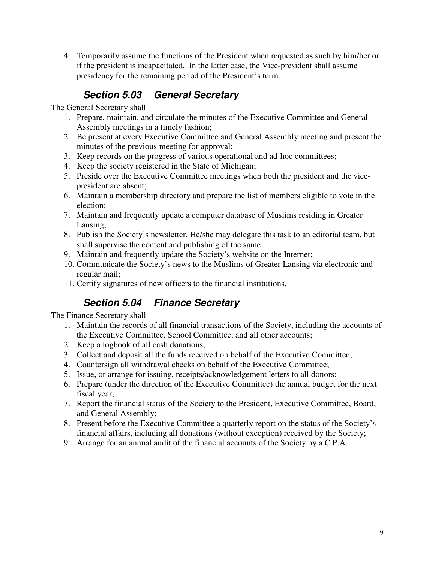4. Temporarily assume the functions of the President when requested as such by him/her or if the president is incapacitated. In the latter case, the Vice-president shall assume presidency for the remaining period of the President's term.

#### **Section 5.03 General Secretary**

The General Secretary shall

- 1. Prepare, maintain, and circulate the minutes of the Executive Committee and General Assembly meetings in a timely fashion;
- 2. Be present at every Executive Committee and General Assembly meeting and present the minutes of the previous meeting for approval;
- 3. Keep records on the progress of various operational and ad-hoc committees;
- 4. Keep the society registered in the State of Michigan;
- 5. Preside over the Executive Committee meetings when both the president and the vicepresident are absent;
- 6. Maintain a membership directory and prepare the list of members eligible to vote in the election;
- 7. Maintain and frequently update a computer database of Muslims residing in Greater Lansing;
- 8. Publish the Society's newsletter. He/she may delegate this task to an editorial team, but shall supervise the content and publishing of the same;
- 9. Maintain and frequently update the Society's website on the Internet;
- 10. Communicate the Society's news to the Muslims of Greater Lansing via electronic and regular mail;
- 11. Certify signatures of new officers to the financial institutions.

### **Section 5.04 Finance Secretary**

The Finance Secretary shall

- 1. Maintain the records of all financial transactions of the Society, including the accounts of the Executive Committee, School Committee, and all other accounts;
- 2. Keep a logbook of all cash donations;
- 3. Collect and deposit all the funds received on behalf of the Executive Committee;
- 4. Countersign all withdrawal checks on behalf of the Executive Committee;
- 5. Issue, or arrange for issuing, receipts/acknowledgement letters to all donors;
- 6. Prepare (under the direction of the Executive Committee) the annual budget for the next fiscal year;
- 7. Report the financial status of the Society to the President, Executive Committee, Board, and General Assembly;
- 8. Present before the Executive Committee a quarterly report on the status of the Society's financial affairs, including all donations (without exception) received by the Society;
- 9. Arrange for an annual audit of the financial accounts of the Society by a C.P.A.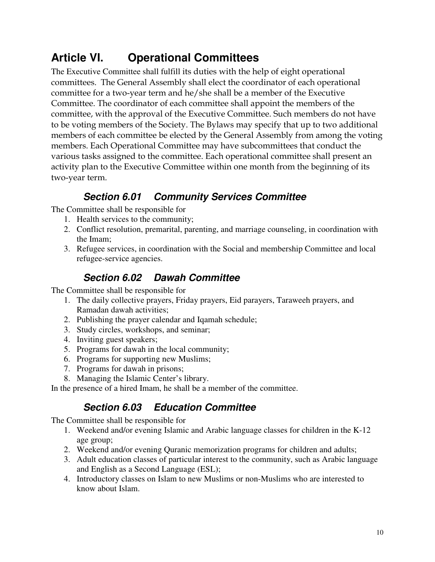## **Article VI. Operational Committees**

The Executive Committee shall fulfill its duties with the help of eight operational committees. The General Assembly shall elect the coordinator of each operational committee for a two-year term and he/she shall be a member of the Executive Committee. The coordinator of each committee shall appoint the members of the committee, with the approval of the Executive Committee. Such members do not have to be voting members of the Society. The Bylaws may specify that up to two additional members of each committee be elected by the General Assembly from among the voting members. Each Operational Committee may have subcommittees that conduct the various tasks assigned to the committee. Each operational committee shall present an activity plan to the Executive Committee within one month from the beginning of its two-year term.

### **Section 6.01 Community Services Committee**

The Committee shall be responsible for

- 1. Health services to the community;
- 2. Conflict resolution, premarital, parenting, and marriage counseling, in coordination with the Imam;
- 3. Refugee services, in coordination with the Social and membership Committee and local refugee-service agencies.

#### **Section 6.02 Dawah Committee**

The Committee shall be responsible for

- 1. The daily collective prayers, Friday prayers, Eid parayers, Taraweeh prayers, and Ramadan dawah activities;
- 2. Publishing the prayer calendar and Iqamah schedule;
- 3. Study circles, workshops, and seminar;
- 4. Inviting guest speakers;
- 5. Programs for dawah in the local community;
- 6. Programs for supporting new Muslims;
- 7. Programs for dawah in prisons;
- 8. Managing the Islamic Center's library.

In the presence of a hired Imam, he shall be a member of the committee.

### **Section 6.03 Education Committee**

The Committee shall be responsible for

- 1. Weekend and/or evening Islamic and Arabic language classes for children in the K-12 age group;
- 2. Weekend and/or evening Quranic memorization programs for children and adults;
- 3. Adult education classes of particular interest to the community, such as Arabic language and English as a Second Language (ESL);
- 4. Introductory classes on Islam to new Muslims or non-Muslims who are interested to know about Islam.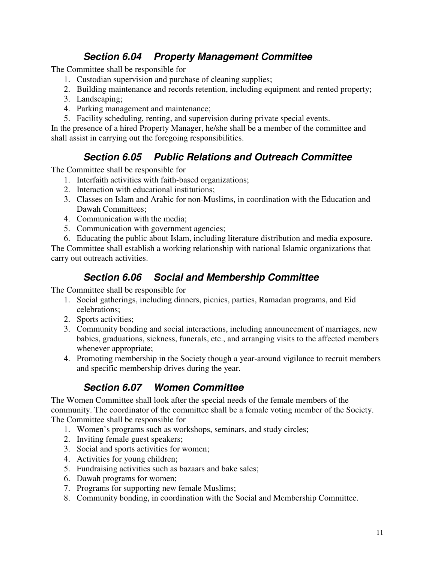#### **Section 6.04 Property Management Committee**

The Committee shall be responsible for

- 1. Custodian supervision and purchase of cleaning supplies;
- 2. Building maintenance and records retention, including equipment and rented property;
- 3. Landscaping;
- 4. Parking management and maintenance;
- 5. Facility scheduling, renting, and supervision during private special events.

In the presence of a hired Property Manager, he/she shall be a member of the committee and shall assist in carrying out the foregoing responsibilities.

### **Section 6.05 Public Relations and Outreach Committee**

The Committee shall be responsible for

- 1. Interfaith activities with faith-based organizations;
- 2. Interaction with educational institutions;
- 3. Classes on Islam and Arabic for non-Muslims, in coordination with the Education and Dawah Committees;
- 4. Communication with the media;
- 5. Communication with government agencies;
- 6. Educating the public about Islam, including literature distribution and media exposure.

The Committee shall establish a working relationship with national Islamic organizations that carry out outreach activities.

#### **Section 6.06 Social and Membership Committee**

The Committee shall be responsible for

- 1. Social gatherings, including dinners, picnics, parties, Ramadan programs, and Eid celebrations;
- 2. Sports activities;
- 3. Community bonding and social interactions, including announcement of marriages, new babies, graduations, sickness, funerals, etc., and arranging visits to the affected members whenever appropriate;
- 4. Promoting membership in the Society though a year-around vigilance to recruit members and specific membership drives during the year.

### **Section 6.07 Women Committee**

The Women Committee shall look after the special needs of the female members of the community. The coordinator of the committee shall be a female voting member of the Society. The Committee shall be responsible for

- 1. Women's programs such as workshops, seminars, and study circles;
- 2. Inviting female guest speakers;
- 3. Social and sports activities for women;
- 4. Activities for young children;
- 5. Fundraising activities such as bazaars and bake sales;
- 6. Dawah programs for women;
- 7. Programs for supporting new female Muslims;
- 8. Community bonding, in coordination with the Social and Membership Committee.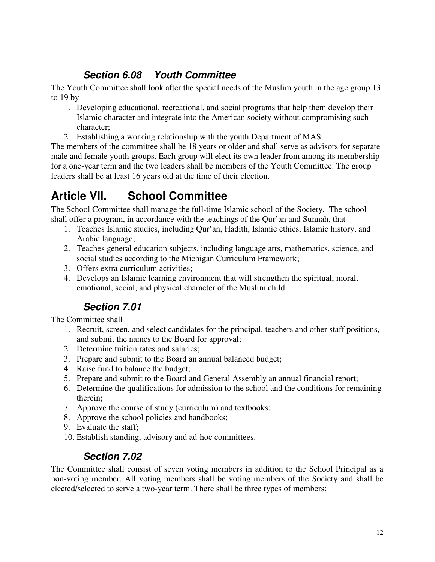#### **Section 6.08 Youth Committee**

The Youth Committee shall look after the special needs of the Muslim youth in the age group 13 to 19 by

- 1. Developing educational, recreational, and social programs that help them develop their Islamic character and integrate into the American society without compromising such character;
- 2. Establishing a working relationship with the youth Department of MAS.

The members of the committee shall be 18 years or older and shall serve as advisors for separate male and female youth groups. Each group will elect its own leader from among its membership for a one-year term and the two leaders shall be members of the Youth Committee. The group leaders shall be at least 16 years old at the time of their election.

## **Article VII. School Committee**

The School Committee shall manage the full-time Islamic school of the Society. The school shall offer a program, in accordance with the teachings of the Qur'an and Sunnah, that

- 1. Teaches Islamic studies, including Qur'an, Hadith, Islamic ethics, Islamic history, and Arabic language;
- 2. Teaches general education subjects, including language arts, mathematics, science, and social studies according to the Michigan Curriculum Framework;
- 3. Offers extra curriculum activities;
- 4. Develops an Islamic learning environment that will strengthen the spiritual, moral, emotional, social, and physical character of the Muslim child.

### **Section 7.01**

The Committee shall

- 1. Recruit, screen, and select candidates for the principal, teachers and other staff positions, and submit the names to the Board for approval;
- 2. Determine tuition rates and salaries;
- 3. Prepare and submit to the Board an annual balanced budget;
- 4. Raise fund to balance the budget;
- 5. Prepare and submit to the Board and General Assembly an annual financial report;
- 6. Determine the qualifications for admission to the school and the conditions for remaining therein;
- 7. Approve the course of study (curriculum) and textbooks;
- 8. Approve the school policies and handbooks;
- 9. Evaluate the staff;
- 10. Establish standing, advisory and ad-hoc committees.

#### **Section 7.02**

The Committee shall consist of seven voting members in addition to the School Principal as a non-voting member. All voting members shall be voting members of the Society and shall be elected/selected to serve a two-year term. There shall be three types of members: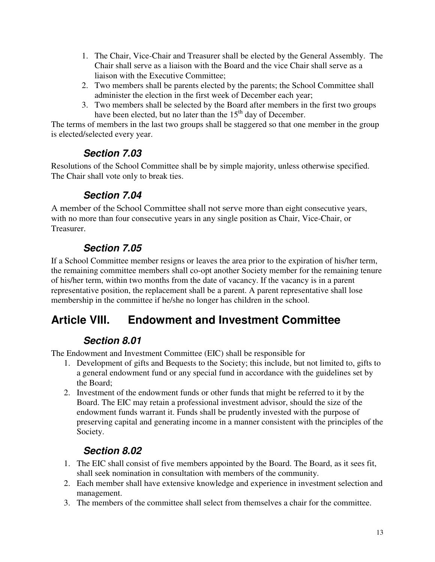- 1. The Chair, Vice-Chair and Treasurer shall be elected by the General Assembly. The Chair shall serve as a liaison with the Board and the vice Chair shall serve as a liaison with the Executive Committee;
- 2. Two members shall be parents elected by the parents; the School Committee shall administer the election in the first week of December each year;
- 3. Two members shall be selected by the Board after members in the first two groups have been elected, but no later than the  $15<sup>th</sup>$  day of December.

The terms of members in the last two groups shall be staggered so that one member in the group is elected/selected every year.

### **Section 7.03**

Resolutions of the School Committee shall be by simple majority, unless otherwise specified. The Chair shall vote only to break ties.

### **Section 7.04**

A member of the School Committee shall not serve more than eight consecutive years, with no more than four consecutive years in any single position as Chair, Vice-Chair, or Treasurer.

## **Section 7.05**

If a School Committee member resigns or leaves the area prior to the expiration of his/her term, the remaining committee members shall co-opt another Society member for the remaining tenure of his/her term, within two months from the date of vacancy. If the vacancy is in a parent representative position, the replacement shall be a parent. A parent representative shall lose membership in the committee if he/she no longer has children in the school.

## **Article VIII. Endowment and Investment Committee**

### **Section 8.01**

The Endowment and Investment Committee (EIC) shall be responsible for

- 1. Development of gifts and Bequests to the Society; this include, but not limited to, gifts to a general endowment fund or any special fund in accordance with the guidelines set by the Board;
- 2. Investment of the endowment funds or other funds that might be referred to it by the Board. The EIC may retain a professional investment advisor, should the size of the endowment funds warrant it. Funds shall be prudently invested with the purpose of preserving capital and generating income in a manner consistent with the principles of the Society.

## **Section 8.02**

- 1. The EIC shall consist of five members appointed by the Board. The Board, as it sees fit, shall seek nomination in consultation with members of the community.
- 2. Each member shall have extensive knowledge and experience in investment selection and management.
- 3. The members of the committee shall select from themselves a chair for the committee.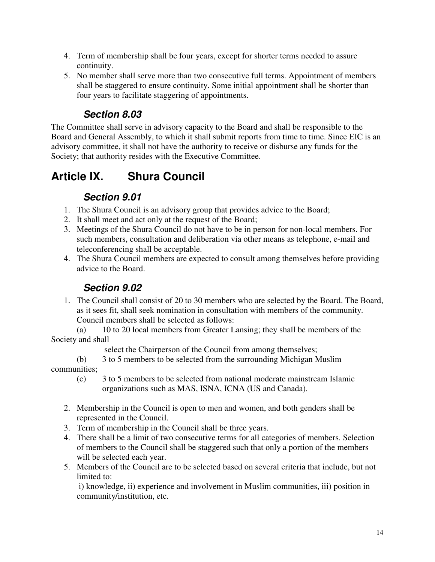- 4. Term of membership shall be four years, except for shorter terms needed to assure continuity.
- 5. No member shall serve more than two consecutive full terms. Appointment of members shall be staggered to ensure continuity. Some initial appointment shall be shorter than four years to facilitate staggering of appointments.

### **Section 8.03**

The Committee shall serve in advisory capacity to the Board and shall be responsible to the Board and General Assembly, to which it shall submit reports from time to time. Since EIC is an advisory committee, it shall not have the authority to receive or disburse any funds for the Society; that authority resides with the Executive Committee.

## **Article IX. Shura Council**

### **Section 9.01**

- 1. The Shura Council is an advisory group that provides advice to the Board;
- 2. It shall meet and act only at the request of the Board;
- 3. Meetings of the Shura Council do not have to be in person for non-local members. For such members, consultation and deliberation via other means as telephone, e-mail and teleconferencing shall be acceptable.
- 4. The Shura Council members are expected to consult among themselves before providing advice to the Board.

### **Section 9.02**

1. The Council shall consist of 20 to 30 members who are selected by the Board. The Board, as it sees fit, shall seek nomination in consultation with members of the community. Council members shall be selected as follows:

(a) 10 to 20 local members from Greater Lansing; they shall be members of the Society and shall

select the Chairperson of the Council from among themselves;

(b) 3 to 5 members to be selected from the surrounding Michigan Muslim communities;

- (c) 3 to 5 members to be selected from national moderate mainstream Islamic organizations such as MAS, ISNA, ICNA (US and Canada).
- 2. Membership in the Council is open to men and women, and both genders shall be represented in the Council.
- 3. Term of membership in the Council shall be three years.
- 4. There shall be a limit of two consecutive terms for all categories of members. Selection of members to the Council shall be staggered such that only a portion of the members will be selected each year.
- 5. Members of the Council are to be selected based on several criteria that include, but not limited to:

i) knowledge, ii) experience and involvement in Muslim communities, iii) position in community/institution, etc.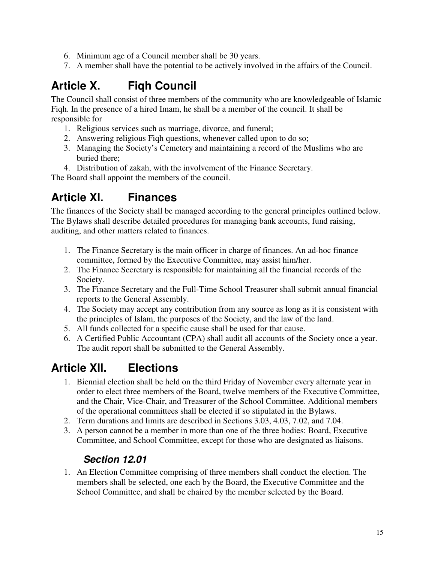- 6. Minimum age of a Council member shall be 30 years.
- 7. A member shall have the potential to be actively involved in the affairs of the Council.

## **Article X. Fiqh Council**

The Council shall consist of three members of the community who are knowledgeable of Islamic Fiqh. In the presence of a hired Imam, he shall be a member of the council. It shall be responsible for

- 1. Religious services such as marriage, divorce, and funeral;
- 2. Answering religious Fiqh questions, whenever called upon to do so;
- 3. Managing the Society's Cemetery and maintaining a record of the Muslims who are buried there;
- 4. Distribution of zakah, with the involvement of the Finance Secretary.

The Board shall appoint the members of the council.

## **Article XI. Finances**

The finances of the Society shall be managed according to the general principles outlined below. The Bylaws shall describe detailed procedures for managing bank accounts, fund raising, auditing, and other matters related to finances.

- 1. The Finance Secretary is the main officer in charge of finances. An ad-hoc finance committee, formed by the Executive Committee, may assist him/her.
- 2. The Finance Secretary is responsible for maintaining all the financial records of the Society.
- 3. The Finance Secretary and the Full-Time School Treasurer shall submit annual financial reports to the General Assembly.
- 4. The Society may accept any contribution from any source as long as it is consistent with the principles of Islam, the purposes of the Society, and the law of the land.
- 5. All funds collected for a specific cause shall be used for that cause.
- 6. A Certified Public Accountant (CPA) shall audit all accounts of the Society once a year. The audit report shall be submitted to the General Assembly.

## **Article XII. Elections**

- 1. Biennial election shall be held on the third Friday of November every alternate year in order to elect three members of the Board, twelve members of the Executive Committee, and the Chair, Vice-Chair, and Treasurer of the School Committee. Additional members of the operational committees shall be elected if so stipulated in the Bylaws.
- 2. Term durations and limits are described in Sections 3.03, 4.03, 7.02, and 7.04.
- 3. A person cannot be a member in more than one of the three bodies: Board, Executive Committee, and School Committee, except for those who are designated as liaisons.

#### **Section 12.01**

1. An Election Committee comprising of three members shall conduct the election. The members shall be selected, one each by the Board, the Executive Committee and the School Committee, and shall be chaired by the member selected by the Board.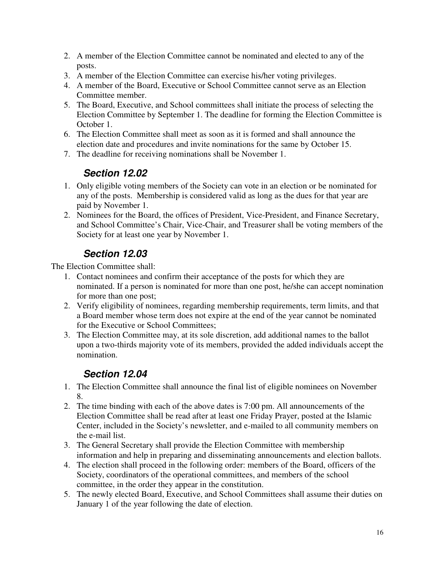- 2. A member of the Election Committee cannot be nominated and elected to any of the posts.
- 3. A member of the Election Committee can exercise his/her voting privileges.
- 4. A member of the Board, Executive or School Committee cannot serve as an Election Committee member.
- 5. The Board, Executive, and School committees shall initiate the process of selecting the Election Committee by September 1. The deadline for forming the Election Committee is October 1.
- 6. The Election Committee shall meet as soon as it is formed and shall announce the election date and procedures and invite nominations for the same by October 15.
- 7. The deadline for receiving nominations shall be November 1.

#### **Section 12.02**

- 1. Only eligible voting members of the Society can vote in an election or be nominated for any of the posts. Membership is considered valid as long as the dues for that year are paid by November 1.
- 2. Nominees for the Board, the offices of President, Vice-President, and Finance Secretary, and School Committee's Chair, Vice-Chair, and Treasurer shall be voting members of the Society for at least one year by November 1.

#### **Section 12.03**

The Election Committee shall:

- 1. Contact nominees and confirm their acceptance of the posts for which they are nominated. If a person is nominated for more than one post, he/she can accept nomination for more than one post;
- 2. Verify eligibility of nominees, regarding membership requirements, term limits, and that a Board member whose term does not expire at the end of the year cannot be nominated for the Executive or School Committees;
- 3. The Election Committee may, at its sole discretion, add additional names to the ballot upon a two-thirds majority vote of its members, provided the added individuals accept the nomination.

#### **Section 12.04**

- 1. The Election Committee shall announce the final list of eligible nominees on November 8.
- 2. The time binding with each of the above dates is 7:00 pm. All announcements of the Election Committee shall be read after at least one Friday Prayer, posted at the Islamic Center, included in the Society's newsletter, and e-mailed to all community members on the e-mail list.
- 3. The General Secretary shall provide the Election Committee with membership information and help in preparing and disseminating announcements and election ballots.
- 4. The election shall proceed in the following order: members of the Board, officers of the Society, coordinators of the operational committees, and members of the school committee, in the order they appear in the constitution.
- 5. The newly elected Board, Executive, and School Committees shall assume their duties on January 1 of the year following the date of election.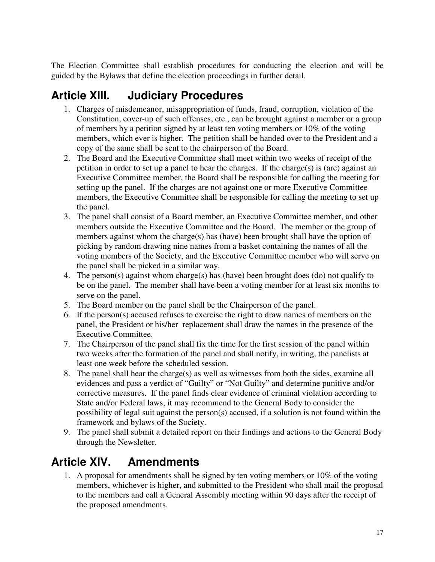The Election Committee shall establish procedures for conducting the election and will be guided by the Bylaws that define the election proceedings in further detail.

## **Article XIII. Judiciary Procedures**

- 1. Charges of misdemeanor, misappropriation of funds, fraud, corruption, violation of the Constitution, cover-up of such offenses, etc., can be brought against a member or a group of members by a petition signed by at least ten voting members or 10% of the voting members, which ever is higher. The petition shall be handed over to the President and a copy of the same shall be sent to the chairperson of the Board.
- 2. The Board and the Executive Committee shall meet within two weeks of receipt of the petition in order to set up a panel to hear the charges. If the charge(s) is (are) against an Executive Committee member, the Board shall be responsible for calling the meeting for setting up the panel. If the charges are not against one or more Executive Committee members, the Executive Committee shall be responsible for calling the meeting to set up the panel.
- 3. The panel shall consist of a Board member, an Executive Committee member, and other members outside the Executive Committee and the Board. The member or the group of members against whom the charge(s) has (have) been brought shall have the option of picking by random drawing nine names from a basket containing the names of all the voting members of the Society, and the Executive Committee member who will serve on the panel shall be picked in a similar way.
- 4. The person(s) against whom charge(s) has (have) been brought does (do) not qualify to be on the panel. The member shall have been a voting member for at least six months to serve on the panel.
- 5. The Board member on the panel shall be the Chairperson of the panel.
- 6. If the person(s) accused refuses to exercise the right to draw names of members on the panel, the President or his/her replacement shall draw the names in the presence of the Executive Committee.
- 7. The Chairperson of the panel shall fix the time for the first session of the panel within two weeks after the formation of the panel and shall notify, in writing, the panelists at least one week before the scheduled session.
- 8. The panel shall hear the charge(s) as well as witnesses from both the sides, examine all evidences and pass a verdict of "Guilty" or "Not Guilty" and determine punitive and/or corrective measures. If the panel finds clear evidence of criminal violation according to State and/or Federal laws, it may recommend to the General Body to consider the possibility of legal suit against the person(s) accused, if a solution is not found within the framework and bylaws of the Society.
- 9. The panel shall submit a detailed report on their findings and actions to the General Body through the Newsletter.

## **Article XIV. Amendments**

1. A proposal for amendments shall be signed by ten voting members or 10% of the voting members, whichever is higher, and submitted to the President who shall mail the proposal to the members and call a General Assembly meeting within 90 days after the receipt of the proposed amendments.